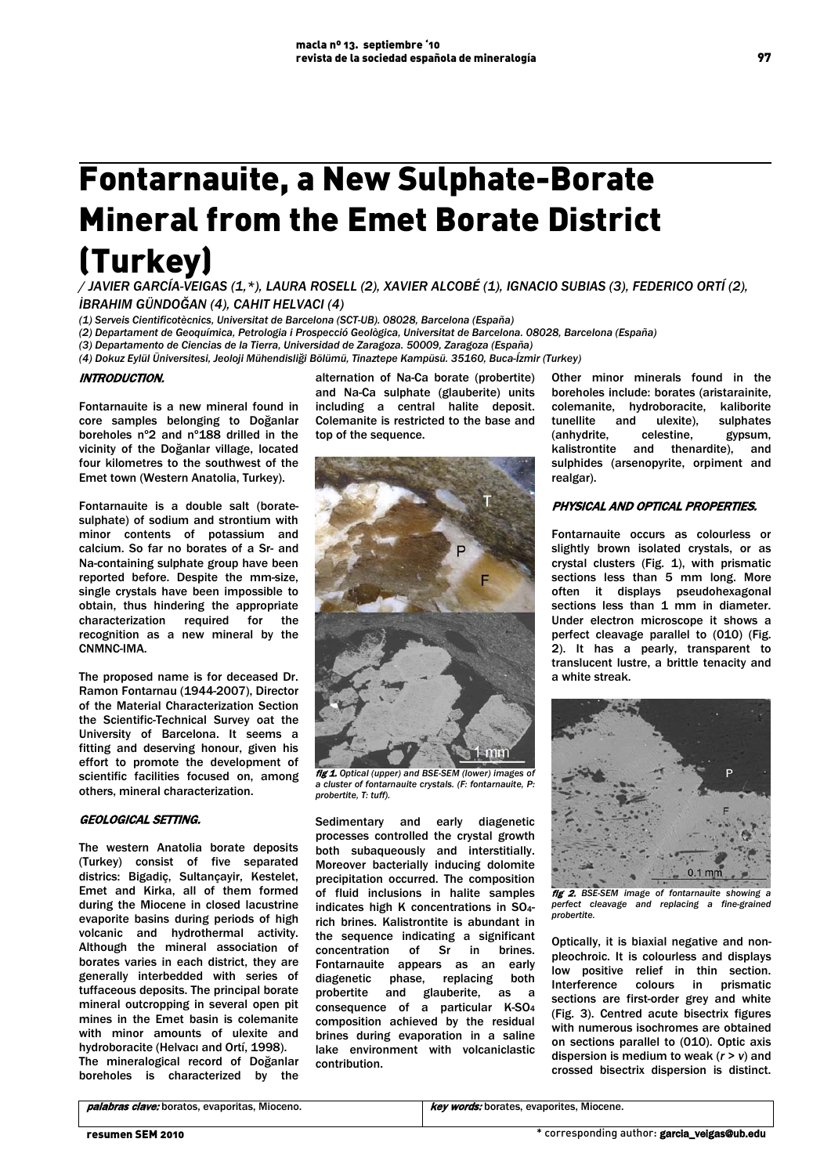# Fontarnauite, a New Sulphate-Borate Mineral from the Emet Borate District (Turkey)

*/ JAVIER GARCÍA-VEIGAS (1,\*), LAURA ROSELL (2), XAVIER ALCOBÉ (1), IGNACIO SUBIAS (3), FEDERICO ORTÍ (2), İBRAHIM GÜNDOĞAN (4), CAHIT HELVACI (4)*

*(1) Serveis Cientificotècnics, Universitat de Barcelona (SCT-UB). 08028, Barcelona (España)*

*(2) Departament de Geoquímica, Petrologia i Prospecció Geològica, Universitat de Barcelona. 08028, Barcelona (España)*

*(3) Departamento de Ciencias de la Tierra, Universidad de Zaragoza. 50009, Zaragoza (España)*

*(4) Dokuz Eylül Üniversitesi, Jeoloji Mühendisliği Bölümü, Tinaztepe Kampüsü. 35160, Buca-Ízmir (Turkey)* 

# INTRODUCTION.

Fontarnauite is a new mineral found in core samples belonging to Doğanlar boreholes nº2 and nº188 drilled in the vicinity of the Doğanlar village, located four kilometres to the southwest of the Emet town (Western Anatolia, Turkey).

Fontarnauite is a double salt (boratesulphate) of sodium and strontium with minor contents of potassium and calcium. So far no borates of a Sr- and Na-containing sulphate group have been reported before. Despite the mm-size, single crystals have been impossible to obtain, thus hindering the appropriate characterization required for the recognition as a new mineral by the CNMNC-IMA.

The proposed name is for deceased Dr. Ramon Fontarnau (1944-2007), Director of the Material Characterization Section the Scientific-Technical Survey oat the University of Barcelona. It seems a fitting and deserving honour, given his effort to promote the development of scientific facilities focused on, among others, mineral characterization.

# GEOLOGICAL SETTING.

The western Anatolia borate deposits (Turkey) consist of five separated districs: Bigadiç, Sultançayir, Kestelet, Emet and Kirka, all of them formed during the Miocene in closed lacustrine evaporite basins during periods of high volcanic and hydrothermal activity. Although the mineral association of borates varies in each district, they are generally interbedded with series of tuffaceous deposits. The principal borate mineral outcropping in several open pit mines in the Emet basin is colemanite with minor amounts of ulexite and hydroboracite (Helvacı and Ortí, 1998). The mineralogical record of Doğanlar boreholes is characterized by the

alternation of Na-Ca borate (probertite) and Na-Ca sulphate (glauberite) units including a central halite deposit. Colemanite is restricted to the base and top of the sequence.



fig 1. *Optical (upper) and BSE-SEM (lower) images of a cluster of fontarnauite crystals. (F: fontarnauite, P: probertite, T: tuff).*

Sedimentary and early diagenetic processes controlled the crystal growth both subaqueously and interstitially. Moreover bacterially inducing dolomite precipitation occurred. The composition of fluid inclusions in halite samples indicates high K concentrations in SO4 rich brines. Kalistrontite is abundant in the sequence indicating a significant concentration of Sr in brines. Fontarnauite appears as an early diagenetic phase, replacing both probertite and glauberite, as a consequence of a particular K-SO4 composition achieved by the residual brines during evaporation in a saline lake environment with volcaniclastic contribution.

Other minor minerals found in the boreholes include: borates (aristarainite, colemanite, hydroboracite, kaliborite tunellite and ulexite), sulphates<br>(anhydrite, celestine, gypsum, (anhydrite, celestine, gypsum, kalistrontite and thenardite), and sulphides (arsenopyrite, orpiment and realgar).

# PHYSICAL AND OPTICAL PROPERTIES.

Fontarnauite occurs as colourless or slightly brown isolated crystals, or as crystal clusters (Fig. 1), with prismatic sections less than 5 mm long. More often it displays pseudohexagonal sections less than 1 mm in diameter. Under electron microscope it shows a perfect cleavage parallel to (010) (Fig. 2). It has a pearly, transparent to translucent lustre, a brittle tenacity and a white streak.



fig 2. *BSE-SEM image of fontarnauite showing a perfect cleavage and replacing a fine-grained probertite.*

Optically, it is biaxial negative and nonpleochroic. It is colourless and displays low positive relief in thin section. Interference colours in prismatic sections are first-order grey and white (Fig. 3). Centred acute bisectrix figures with numerous isochromes are obtained on sections parallel to (010). Optic axis dispersion is medium to weak (*r > v*) and crossed bisectrix dispersion is distinct.